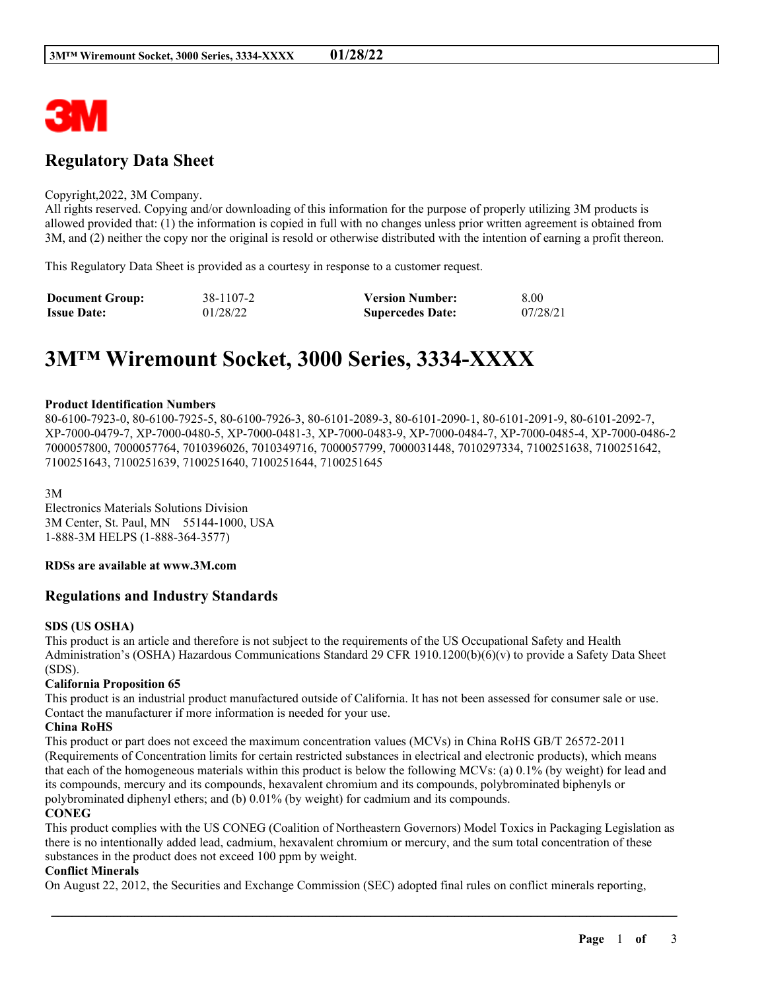

# **Regulatory Data Sheet**

#### Copyright,2022, 3M Company.

All rights reserved. Copying and/or downloading of this information for the purpose of properly utilizing 3M products is allowed provided that: (1) the information is copied in full with no changes unless prior written agreement is obtained from 3M, and (2) neither the copy nor the original is resold or otherwise distributed with the intention of earning a profit thereon.

This Regulatory Data Sheet is provided as a courtesy in response to a customer request.

| <b>Document Group:</b> | 38-1107-2 | <b>Version Number:</b>  | 8.00     |
|------------------------|-----------|-------------------------|----------|
| <b>Issue Date:</b>     | 01/28/22  | <b>Supercedes Date:</b> | 07/28/21 |

# **3M™ Wiremount Socket, 3000 Series, 3334-XXXX**

#### **Product Identification Numbers**

80-6100-7923-0, 80-6100-7925-5, 80-6100-7926-3, 80-6101-2089-3, 80-6101-2090-1, 80-6101-2091-9, 80-6101-2092-7, XP-7000-0479-7, XP-7000-0480-5, XP-7000-0481-3, XP-7000-0483-9, XP-7000-0484-7, XP-7000-0485-4, XP-7000-0486-2 7000057800, 7000057764, 7010396026, 7010349716, 7000057799, 7000031448, 7010297334, 7100251638, 7100251642, 7100251643, 7100251639, 7100251640, 7100251644, 7100251645

3M

Electronics Materials Solutions Division 3M Center, St. Paul, MN 55144-1000, USA 1-888-3M HELPS (1-888-364-3577)

#### **RDSs are available at www.3M.com**

# **Regulations and Industry Standards**

#### **SDS (US OSHA)**

This product is an article and therefore is not subject to the requirements of the US Occupational Safety and Health Administration's (OSHA) Hazardous Communications Standard 29 CFR 1910.1200(b)(6)(v) to provide a Safety Data Sheet (SDS).

#### **California Proposition 65**

This product is an industrial product manufactured outside of California. It has not been assessed for consumer sale or use. Contact the manufacturer if more information is needed for your use.

#### **China RoHS**

This product or part does not exceed the maximum concentration values (MCVs) in China RoHS GB/T 26572-2011 (Requirements of Concentration limits for certain restricted substances in electrical and electronic products), which means that each of the homogeneous materials within this product is below the following MCVs: (a) 0.1% (by weight) for lead and its compounds, mercury and its compounds, hexavalent chromium and its compounds, polybrominated biphenyls or polybrominated diphenyl ethers; and (b) 0.01% (by weight) for cadmium and its compounds.

#### **CONEG**

This product complies with the US CONEG (Coalition of Northeastern Governors) Model Toxics in Packaging Legislation as there is no intentionally added lead, cadmium, hexavalent chromium or mercury, and the sum total concentration of these substances in the product does not exceed 100 ppm by weight.

\_\_\_\_\_\_\_\_\_\_\_\_\_\_\_\_\_\_\_\_\_\_\_\_\_\_\_\_\_\_\_\_\_\_\_\_\_\_\_\_\_\_\_\_\_\_\_\_\_\_\_\_\_\_\_\_\_\_\_\_\_\_\_\_\_\_\_\_\_\_\_\_\_\_\_\_\_\_\_\_\_\_\_\_\_\_\_\_\_\_

#### **Conflict Minerals**

On August 22, 2012, the Securities and Exchange Commission (SEC) adopted final rules on conflict minerals reporting,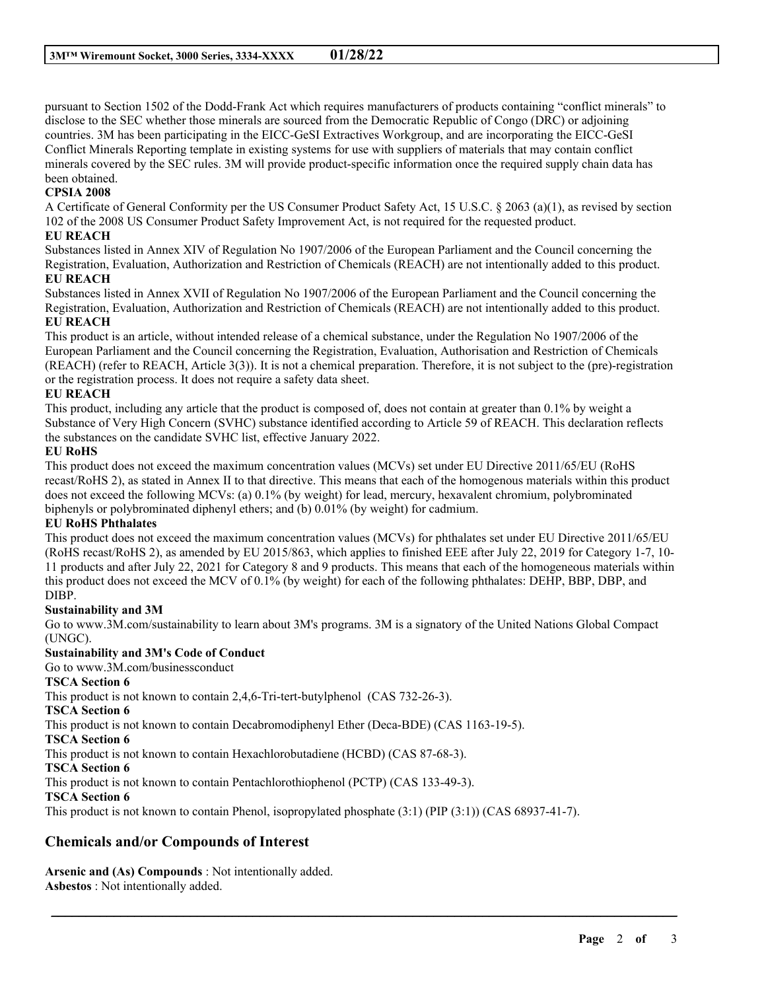pursuant to Section 1502 of the Dodd-Frank Act which requires manufacturers of products containing "conflict minerals" to disclose to the SEC whether those minerals are sourced from the Democratic Republic of Congo (DRC) or adjoining countries. 3M has been participating in the EICC-GeSI Extractives Workgroup, and are incorporating the EICC-GeSI Conflict Minerals Reporting template in existing systems for use with suppliers of materials that may contain conflict minerals covered by the SEC rules. 3M will provide product-specific information once the required supply chain data has been obtained.

# **CPSIA 2008**

A Certificate of General Conformity per the US Consumer Product Safety Act, 15 U.S.C. § 2063 (a)(1), as revised by section 102 of the 2008 US Consumer Product Safety Improvement Act, is not required for the requested product.

#### **EU REACH**

Substances listed in Annex XIV of Regulation No 1907/2006 of the European Parliament and the Council concerning the Registration, Evaluation, Authorization and Restriction of Chemicals (REACH) are not intentionally added to this product.

#### **EU REACH**

Substances listed in Annex XVII of Regulation No 1907/2006 of the European Parliament and the Council concerning the Registration, Evaluation, Authorization and Restriction of Chemicals (REACH) are not intentionally added to this product. **EU REACH**

This product is an article, without intended release of a chemical substance, under the Regulation No 1907/2006 of the European Parliament and the Council concerning the Registration, Evaluation, Authorisation and Restriction of Chemicals (REACH) (refer to REACH, Article 3(3)). It is not a chemical preparation. Therefore, it is not subject to the (pre)-registration or the registration process. It does not require a safety data sheet.

### **EU REACH**

This product, including any article that the product is composed of, does not contain at greater than 0.1% by weight a Substance of Very High Concern (SVHC) substance identified according to Article 59 of REACH. This declaration reflects the substances on the candidate SVHC list, effective January 2022.

#### **EU RoHS**

This product does not exceed the maximum concentration values (MCVs) set under EU Directive 2011/65/EU (RoHS recast/RoHS 2), as stated in Annex II to that directive. This means that each of the homogenous materials within this product does not exceed the following MCVs: (a) 0.1% (by weight) for lead, mercury, hexavalent chromium, polybrominated biphenyls or polybrominated diphenyl ethers; and (b) 0.01% (by weight) for cadmium.

# **EU RoHS Phthalates**

This product does not exceed the maximum concentration values (MCVs) for phthalates set under EU Directive 2011/65/EU (RoHS recast/RoHS 2), as amended by EU 2015/863, which applies to finished EEE after July 22, 2019 for Category 1-7, 10- 11 products and after July 22, 2021 for Category 8 and 9 products. This means that each of the homogeneous materials within this product does not exceed the MCV of 0.1% (by weight) for each of the following phthalates: DEHP, BBP, DBP, and DIBP.

# **Sustainability and 3M**

Go to www.3M.com/sustainability to learn about 3M's programs. 3M is a signatory of the United Nations Global Compact (UNGC).

\_\_\_\_\_\_\_\_\_\_\_\_\_\_\_\_\_\_\_\_\_\_\_\_\_\_\_\_\_\_\_\_\_\_\_\_\_\_\_\_\_\_\_\_\_\_\_\_\_\_\_\_\_\_\_\_\_\_\_\_\_\_\_\_\_\_\_\_\_\_\_\_\_\_\_\_\_\_\_\_\_\_\_\_\_\_\_\_\_\_

# **Sustainability and 3M's Code of Conduct**

Go to www.3M.com/businessconduct

# **TSCA Section 6**

This product is not known to contain 2,4,6-Tri-tert-butylphenol (CAS 732-26-3).

**TSCA Section 6**

This product is not known to contain Decabromodiphenyl Ether (Deca-BDE) (CAS 1163-19-5).

**TSCA Section 6**

This product is not known to contain Hexachlorobutadiene (HCBD) (CAS 87-68-3).

**TSCA Section 6**

This product is not known to contain Pentachlorothiophenol (PCTP) (CAS 133-49-3).

# **TSCA Section 6**

This product is not known to contain Phenol, isopropylated phosphate (3:1) (PIP (3:1)) (CAS 68937-41-7).

# **Chemicals and/or Compounds of Interest**

**Arsenic and (As) Compounds** : Not intentionally added. **Asbestos** : Not intentionally added.